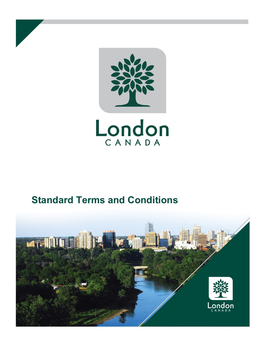

# **Standard Terms and Conditions**

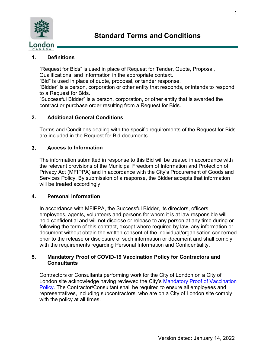

# **1. Definitions**

"Request for Bids" is used in place of Request for Tender, Quote, Proposal, Qualifications, and Information in the appropriate context.

"Bid" is used in place of quote, proposal, or tender response.

"Bidder" is a person, corporation or other entity that responds, or intends to respond to a Request for Bids.

"Successful Bidder" is a person, corporation, or other entity that is awarded the contract or purchase order resulting from a Request for Bids.

# **2. Additional General Conditions**

Terms and Conditions dealing with the specific requirements of the Request for Bids are included in the Request for Bid documents.

# **3. Access to Information**

The information submitted in response to this Bid will be treated in accordance with the relevant provisions of the Municipal Freedom of Information and Protection of Privacy Act (MFIPPA) and in accordance with the City's Procurement of Goods and Services Policy. By submission of a response, the Bidder accepts that information will be treated accordingly.

# **4. Personal Information**

In accordance with MFIPPA, the Successful Bidder, its directors, officers, employees, agents, volunteers and persons for whom it is at law responsible will hold confidential and will not disclose or release to any person at any time during or following the term of this contract, except where required by law, any information or document without obtain the written consent of the individual/organisation concerned prior to the release or disclosure of such information or document and shall comply with the requirements regarding Personal Information and Confidentiality.

# **5. Mandatory Proof of COVID-19 Vaccination Policy for Contractors and Consultants**

Contractors or Consultants performing work for the City of London on a City of London site acknowledge having reviewed the City's [Mandatory Proof of Vaccination](https://london.ca/sites/default/files/2021-09/Mandatory%20Proof%20of%20COVID-19%20Vaccination%20Adm%20Policy_0.pdf)  [Policy.](https://london.ca/sites/default/files/2021-09/Mandatory%20Proof%20of%20COVID-19%20Vaccination%20Adm%20Policy_0.pdf) The Contractor/Consultant shall be required to ensure all employees and representatives, including subcontractors, who are on a City of London site comply with the policy at all times.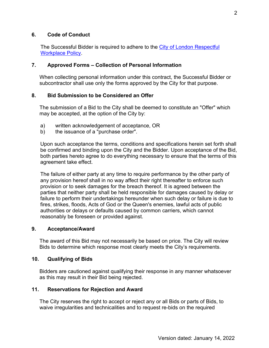# **6. Code of Conduct**

The Successful Bidder is required to adhere to the [City of London Respectful](https://london.ca/council-policies/respectful-workplace-policy-anti-harassmentanti-discrimination) Workplace Policy.

# **7. Approved Forms – Collection of Personal Information**

When collecting personal information under this contract, the Successful Bidder or subcontractor shall use only the forms approved by the City for that purpose.

# **8. Bid Submission to be Considered an Offer**

The submission of a Bid to the City shall be deemed to constitute an "Offer" which may be accepted, at the option of the City by:

- a) written acknowledgement of acceptance, OR
- b) the issuance of a "purchase order".

Upon such acceptance the terms, conditions and specifications herein set forth shall be confirmed and binding upon the City and the Bidder. Upon acceptance of the Bid, both parties hereto agree to do everything necessary to ensure that the terms of this agreement take effect.

The failure of either party at any time to require performance by the other party of any provision hereof shall in no way affect their right thereafter to enforce such provision or to seek damages for the breach thereof. It is agreed between the parties that neither party shall be held responsible for damages caused by delay or failure to perform their undertakings hereunder when such delay or failure is due to fires, strikes, floods, Acts of God or the Queen's enemies, lawful acts of public authorities or delays or defaults caused by common carriers, which cannot reasonably be foreseen or provided against.

#### **9. Acceptance/Award**

The award of this Bid may not necessarily be based on price. The City will review Bids to determine which response most clearly meets the City's requirements.

#### **10. Qualifying of Bids**

Bidders are cautioned against qualifying their response in any manner whatsoever as this may result in their Bid being rejected.

# **11. Reservations for Rejection and Award**

The City reserves the right to accept or reject any or all Bids or parts of Bids, to waive irregularities and technicalities and to request re-bids on the required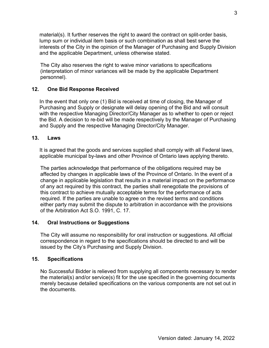material(s). It further reserves the right to award the contract on split-order basis, lump sum or individual item basis or such combination as shall best serve the interests of the City in the opinion of the Manager of Purchasing and Supply Division and the applicable Department, unless otherwise stated.

The City also reserves the right to waive minor variations to specifications (interpretation of minor variances will be made by the applicable Department personnel).

# **12. One Bid Response Received**

In the event that only one (1) Bid is received at time of closing, the Manager of Purchasing and Supply or designate will delay opening of the Bid and will consult with the respective Managing Director/City Manager as to whether to open or reject the Bid. A decision to re-bid will be made respectively by the Manager of Purchasing and Supply and the respective Managing Director/City Manager.

# **13. Laws**

It is agreed that the goods and services supplied shall comply with all Federal laws, applicable municipal by-laws and other Province of Ontario laws applying thereto.

The parties acknowledge that performance of the obligations required may be affected by changes in applicable laws of the Province of Ontario. In the event of a change in applicable legislation that results in a material impact on the performance of any act required by this contract, the parties shall renegotiate the provisions of this contract to achieve mutually acceptable terms for the performance of acts required. If the parties are unable to agree on the revised terms and conditions either party may submit the dispute to arbitration in accordance with the provisions of the Arbitration Act S.O. 1991, C. 17.

# **14. Oral Instructions or Suggestions**

The City will assume no responsibility for oral instruction or suggestions. All official correspondence in regard to the specifications should be directed to and will be issued by the City's Purchasing and Supply Division.

#### **15. Specifications**

No Successful Bidder is relieved from supplying all components necessary to render the material(s) and/or service(s) fit for the use specified in the governing documents merely because detailed specifications on the various components are not set out in the documents.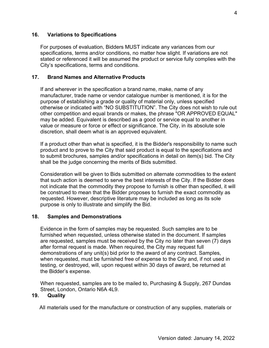# **16. Variations to Specifications**

For purposes of evaluation, Bidders MUST indicate any variances from our specifications, terms and/or conditions, no matter how slight. If variations are not stated or referenced it will be assumed the product or service fully complies with the City's specifications, terms and conditions.

## **17. Brand Names and Alternative Products**

If and wherever in the specification a brand name, make, name of any manufacturer, trade name or vendor catalogue number is mentioned, it is for the purpose of establishing a grade or quality of material only, unless specified otherwise or indicated with "NO SUBSTITUTION". The City does not wish to rule out other competition and equal brands or makes, the phrase "OR APPROVED EQUAL" may be added. Equivalent is described as a good or service equal to another in value or measure or force or effect or significance. The City, in its absolute sole discretion, shall deem what is an approved equivalent.

If a product other than what is specified, it is the Bidder's responsibility to name such product and to prove to the City that said product is equal to the specifications and to submit brochures, samples and/or specifications in detail on item(s) bid. The City shall be the judge concerning the merits of Bids submitted.

Consideration will be given to Bids submitted on alternate commodities to the extent that such action is deemed to serve the best interests of the City. If the Bidder does not indicate that the commodity they propose to furnish is other than specified, it will be construed to mean that the Bidder proposes to furnish the exact commodity as requested. However, descriptive literature may be included as long as its sole purpose is only to illustrate and simplify the Bid.

#### **18. Samples and Demonstrations**

Evidence in the form of samples may be requested. Such samples are to be furnished when requested, unless otherwise stated in the document. If samples are requested, samples must be received by the City no later than seven (7) days after formal request is made. When required, the City may request full demonstrations of any unit(s) bid prior to the award of any contract. Samples, when requested, must be furnished free of expense to the City and, if not used in testing, or destroyed, will, upon request within 30 days of award, be returned at the Bidder's expense.

When requested, samples are to be mailed to, Purchasing & Supply, 267 Dundas Street, London, Ontario N6A 4L9.

#### **19. Quality**

All materials used for the manufacture or construction of any supplies, materials or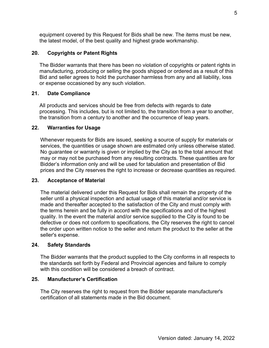equipment covered by this Request for Bids shall be new. The items must be new, the latest model, of the best quality and highest grade workmanship.

# **20. Copyrights or Patent Rights**

The Bidder warrants that there has been no violation of copyrights or patent rights in manufacturing, producing or selling the goods shipped or ordered as a result of this Bid and seller agrees to hold the purchaser harmless from any and all liability, loss or expense occasioned by any such violation.

# **21. Date Compliance**

All products and services should be free from defects with regards to date processing. This includes, but is not limited to, the transition from a year to another, the transition from a century to another and the occurrence of leap years.

# **22. Warranties for Usage**

Whenever requests for Bids are issued, seeking a source of supply for materials or services, the quantities or usage shown are estimated only unless otherwise stated. No guarantee or warranty is given or implied by the City as to the total amount that may or may not be purchased from any resulting contracts. These quantities are for Bidder's information only and will be used for tabulation and presentation of Bid prices and the City reserves the right to increase or decrease quantities as required.

# **23. Acceptance of Material**

The material delivered under this Request for Bids shall remain the property of the seller until a physical inspection and actual usage of this material and/or service is made and thereafter accepted to the satisfaction of the City and must comply with the terms herein and be fully in accord with the specifications and of the highest quality. In the event the material and/or service supplied to the City is found to be defective or does not conform to specifications, the City reserves the right to cancel the order upon written notice to the seller and return the product to the seller at the seller's expense.

# **24. Safety Standards**

The Bidder warrants that the product supplied to the City conforms in all respects to the standards set forth by Federal and Provincial agencies and failure to comply with this condition will be considered a breach of contract.

# **25. Manufacturer's Certification**

The City reserves the right to request from the Bidder separate manufacturer's certification of all statements made in the Bid document.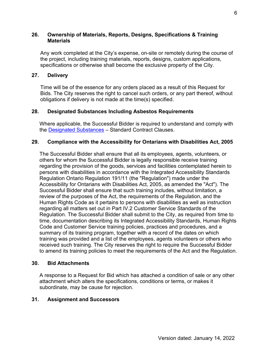## **26. Ownership of Materials, Reports, Designs, Specifications & Training Materials**

Any work completed at the City's expense, on-site or remotely during the course of the project, including training materials, reports, designs, custom applications, specifications or otherwise shall become the exclusive property of the City.

## **27. Delivery**

Time will be of the essence for any orders placed as a result of this Request for Bids. The City reserves the right to cancel such orders, or any part thereof, without obligations if delivery is not made at the time(s) specified.

## **28. Designated Substances Including Asbestos Requirements**

Where applicable, the Successful Bidder is required to understand and comply with the [Designated Substances](https://london.ca/sites/default/files/2020-10/Designated-Substances.pdf) – Standard Contract Clauses.

## **29. Compliance with the Accessibility for Ontarians with Disabilities Act, 2005**

The Successful Bidder shall ensure that all its employees, agents, volunteers, or others for whom the Successful Bidder is legally responsible receive training regarding the provision of the goods, services and facilities contemplated herein to persons with disabilities in accordance with the Integrated Accessibility Standards Regulation Ontario Regulation 191/11 (the "Regulation") made under the Accessibility for Ontarians with Disabilities Act, 2005, as amended the "Act"). The Successful Bidder shall ensure that such training includes, without limitation, a review of the purposes of the Act, the requirements of the Regulation, and the Human Rights Code as it pertains to persons with disabilities as well as instruction regarding all matters set out in Part IV.2 Customer Service Standards of the Regulation. The Successful Bidder shall submit to the City, as required from time to time, documentation describing its Integrated Accessibility Standards, Human Rights Code and Customer Service training policies, practices and procedures, and a summary of its training program, together with a record of the dates on which training was provided and a list of the employees, agents volunteers or others who received such training. The City reserves the right to require the Successful Bidder to amend its training policies to meet the requirements of the Act and the Regulation.

#### **30. Bid Attachments**

A response to a Request for Bid which has attached a condition of sale or any other attachment which alters the specifications, conditions or terms, or makes it subordinate, may be cause for rejection.

# **31. Assignment and Successors**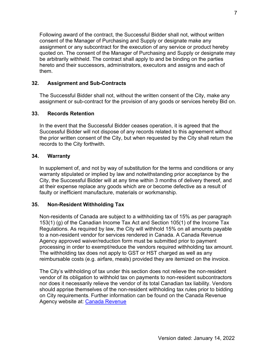Following award of the contract, the Successful Bidder shall not, without written consent of the Manager of Purchasing and Supply or designate make any assignment or any subcontract for the execution of any service or product hereby quoted on. The consent of the Manager of Purchasing and Supply or designate may be arbitrarily withheld. The contract shall apply to and be binding on the parties hereto and their successors, administrators, executors and assigns and each of them.

# **32. Assignment and Sub-Contracts**

The Successful Bidder shall not, without the written consent of the City, make any assignment or sub-contract for the provision of any goods or services hereby Bid on.

# **33. Records Retention**

In the event that the Successful Bidder ceases operation, it is agreed that the Successful Bidder will not dispose of any records related to this agreement without the prior written consent of the City, but when requested by the City shall return the records to the City forthwith.

# **34. Warranty**

In supplement of, and not by way of substitution for the terms and conditions or any warranty stipulated or implied by law and notwithstanding prior acceptance by the City, the Successful Bidder will at any time within 3 months of delivery thereof, and at their expense replace any goods which are or become defective as a result of faulty or inefficient manufacture, materials or workmanship.

# **35. Non-Resident Withholding Tax**

Non-residents of Canada are subject to a withholding tax of 15% as per paragraph 153(1) (g) of the Canadian Income Tax Act and Section 105(1) of the Income Tax Regulations. As required by law, the City will withhold 15% on all amounts payable to a non-resident vendor for services rendered in Canada. A Canada Revenue Agency approved waiver/reduction form must be submitted prior to payment processing in order to exempt/reduce the vendors required withholding tax amount. The withholding tax does not apply to GST or HST charged as well as any reimbursable costs (e.g. airfare, meals) provided they are itemized on the invoice.

The City's withholding of tax under this section does not relieve the non-resident vendor of its obligation to withhold tax on payments to non-resident subcontractors nor does it necessarily relieve the vendor of its total Canadian tax liability. Vendors should apprise themselves of the non-resident withholding tax rules prior to bidding on City requirements. Further information can be found on the Canada Revenue Agency website at: [Canada Revenue](http://www.cra-arc.gc.ca/)